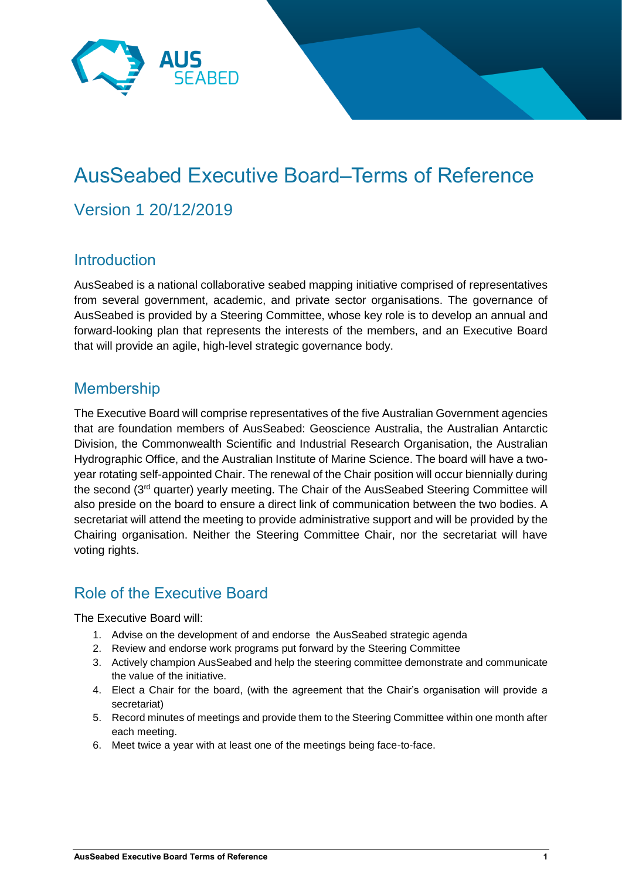

## AusSeabed Executive Board–Terms of Reference Version 1 20/12/2019

## **Introduction**

AusSeabed is a national collaborative seabed mapping initiative comprised of representatives from several government, academic, and private sector organisations. The governance of AusSeabed is provided by a Steering Committee, whose key role is to develop an annual and forward-looking plan that represents the interests of the members, and an Executive Board that will provide an agile, high-level strategic governance body.

## Membership

The Executive Board will comprise representatives of the five Australian Government agencies that are foundation members of AusSeabed: Geoscience Australia, the Australian Antarctic Division, the Commonwealth Scientific and Industrial Research Organisation, the Australian Hydrographic Office, and the Australian Institute of Marine Science. The board will have a twoyear rotating self-appointed Chair. The renewal of the Chair position will occur biennially during the second (3rd quarter) yearly meeting. The Chair of the AusSeabed Steering Committee will also preside on the board to ensure a direct link of communication between the two bodies. A secretariat will attend the meeting to provide administrative support and will be provided by the Chairing organisation. Neither the Steering Committee Chair, nor the secretariat will have voting rights.

## Role of the Executive Board

The Executive Board will:

- 1. Advise on the development of and endorse the AusSeabed strategic agenda
- 2. Review and endorse work programs put forward by the Steering Committee
- 3. Actively champion AusSeabed and help the steering committee demonstrate and communicate the value of the initiative.
- 4. Elect a Chair for the board, (with the agreement that the Chair's organisation will provide a secretariat)
- 5. Record minutes of meetings and provide them to the Steering Committee within one month after each meeting.
- 6. Meet twice a year with at least one of the meetings being face-to-face.